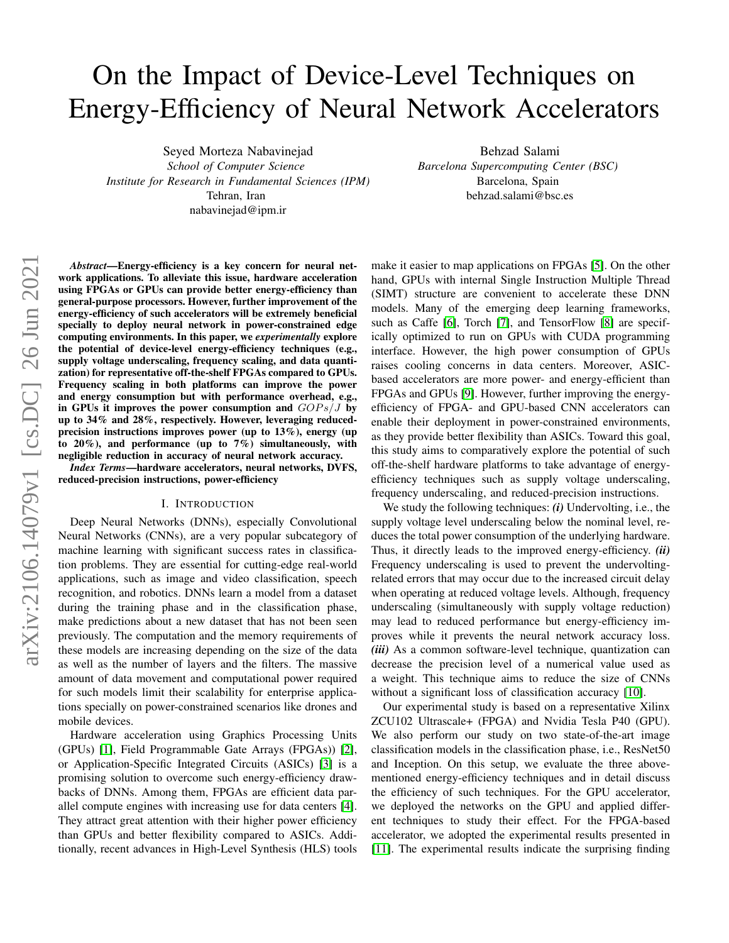# On the Impact of Device-Level Techniques on Energy-Efficiency of Neural Network Accelerators

Seyed Morteza Nabavinejad

*School of Computer Science Institute for Research in Fundamental Sciences (IPM)* Tehran, Iran nabavinejad@ipm.ir

Behzad Salami *Barcelona Supercomputing Center (BSC)* Barcelona, Spain behzad.salami@bsc.es

*Abstract*—Energy-efficiency is a key concern for neural network applications. To alleviate this issue, hardware acceleration using FPGAs or GPUs can provide better energy-efficiency than general-purpose processors. However, further improvement of the energy-efficiency of such accelerators will be extremely beneficial specially to deploy neural network in power-constrained edge computing environments. In this paper, we *experimentally* explore the potential of device-level energy-efficiency techniques (e.g., supply voltage underscaling, frequency scaling, and data quantization) for representative off-the-shelf FPGAs compared to GPUs. Frequency scaling in both platforms can improve the power and energy consumption but with performance overhead, e.g., in GPUs it improves the power consumption and  $GOPs/J$  by up to 34% and 28%, respectively. However, leveraging reducedprecision instructions improves power (up to 13%), energy (up to  $20\%$ ), and performance (up to  $7\%$ ) simultaneously, with negligible reduction in accuracy of neural network accuracy.

*Index Terms*—hardware accelerators, neural networks, DVFS, reduced-precision instructions, power-efficiency

#### I. INTRODUCTION

Deep Neural Networks (DNNs), especially Convolutional Neural Networks (CNNs), are a very popular subcategory of machine learning with significant success rates in classification problems. They are essential for cutting-edge real-world applications, such as image and video classification, speech recognition, and robotics. DNNs learn a model from a dataset during the training phase and in the classification phase, make predictions about a new dataset that has not been seen previously. The computation and the memory requirements of these models are increasing depending on the size of the data as well as the number of layers and the filters. The massive amount of data movement and computational power required for such models limit their scalability for enterprise applications specially on power-constrained scenarios like drones and mobile devices.

Hardware acceleration using Graphics Processing Units (GPUs) [\[1\]](#page-5-0), Field Programmable Gate Arrays (FPGAs)) [\[2\]](#page-5-1), or Application-Specific Integrated Circuits (ASICs) [\[3\]](#page-5-2) is a promising solution to overcome such energy-efficiency drawbacks of DNNs. Among them, FPGAs are efficient data parallel compute engines with increasing use for data centers [\[4\]](#page-5-3). They attract great attention with their higher power efficiency than GPUs and better flexibility compared to ASICs. Additionally, recent advances in High-Level Synthesis (HLS) tools make it easier to map applications on FPGAs [\[5\]](#page-5-4). On the other hand, GPUs with internal Single Instruction Multiple Thread (SIMT) structure are convenient to accelerate these DNN models. Many of the emerging deep learning frameworks, such as Caffe [\[6\]](#page-5-5), Torch [\[7\]](#page-5-6), and TensorFlow [\[8\]](#page-5-7) are specifically optimized to run on GPUs with CUDA programming interface. However, the high power consumption of GPUs raises cooling concerns in data centers. Moreover, ASICbased accelerators are more power- and energy-efficient than FPGAs and GPUs [\[9\]](#page-5-8). However, further improving the energyefficiency of FPGA- and GPU-based CNN accelerators can enable their deployment in power-constrained environments, as they provide better flexibility than ASICs. Toward this goal, this study aims to comparatively explore the potential of such off-the-shelf hardware platforms to take advantage of energyefficiency techniques such as supply voltage underscaling, frequency underscaling, and reduced-precision instructions.

We study the following techniques: *(i)* Undervolting, i.e., the supply voltage level underscaling below the nominal level, reduces the total power consumption of the underlying hardware. Thus, it directly leads to the improved energy-efficiency. *(ii)* Frequency underscaling is used to prevent the undervoltingrelated errors that may occur due to the increased circuit delay when operating at reduced voltage levels. Although, frequency underscaling (simultaneously with supply voltage reduction) may lead to reduced performance but energy-efficiency improves while it prevents the neural network accuracy loss. *(iii)* As a common software-level technique, quantization can decrease the precision level of a numerical value used as a weight. This technique aims to reduce the size of CNNs without a significant loss of classification accuracy [\[10\]](#page-5-9).

Our experimental study is based on a representative Xilinx ZCU102 Ultrascale+ (FPGA) and Nvidia Tesla P40 (GPU). We also perform our study on two state-of-the-art image classification models in the classification phase, i.e., ResNet50 and Inception. On this setup, we evaluate the three abovementioned energy-efficiency techniques and in detail discuss the efficiency of such techniques. For the GPU accelerator, we deployed the networks on the GPU and applied different techniques to study their effect. For the FPGA-based accelerator, we adopted the experimental results presented in [\[11\]](#page-5-10). The experimental results indicate the surprising finding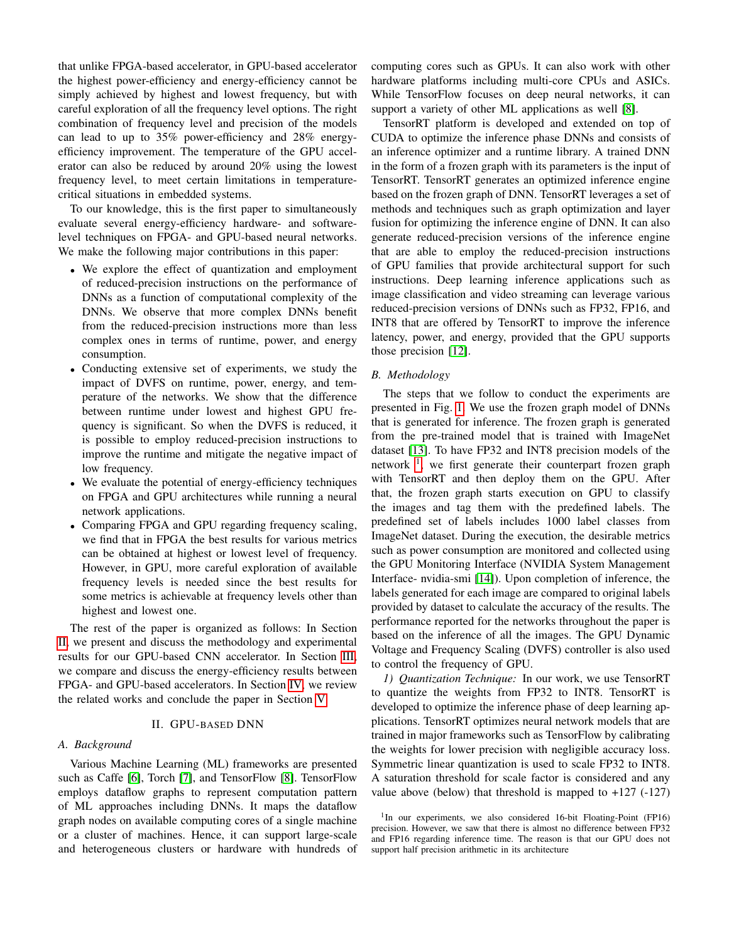that unlike FPGA-based accelerator, in GPU-based accelerator the highest power-efficiency and energy-efficiency cannot be simply achieved by highest and lowest frequency, but with careful exploration of all the frequency level options. The right combination of frequency level and precision of the models can lead to up to 35% power-efficiency and 28% energyefficiency improvement. The temperature of the GPU accelerator can also be reduced by around 20% using the lowest frequency level, to meet certain limitations in temperaturecritical situations in embedded systems.

To our knowledge, this is the first paper to simultaneously evaluate several energy-efficiency hardware- and softwarelevel techniques on FPGA- and GPU-based neural networks. We make the following major contributions in this paper:

- We explore the effect of quantization and employment of reduced-precision instructions on the performance of DNNs as a function of computational complexity of the DNNs. We observe that more complex DNNs benefit from the reduced-precision instructions more than less complex ones in terms of runtime, power, and energy consumption.
- Conducting extensive set of experiments, we study the impact of DVFS on runtime, power, energy, and temperature of the networks. We show that the difference between runtime under lowest and highest GPU frequency is significant. So when the DVFS is reduced, it is possible to employ reduced-precision instructions to improve the runtime and mitigate the negative impact of low frequency.
- We evaluate the potential of energy-efficiency techniques on FPGA and GPU architectures while running a neural network applications.
- Comparing FPGA and GPU regarding frequency scaling, we find that in FPGA the best results for various metrics can be obtained at highest or lowest level of frequency. However, in GPU, more careful exploration of available frequency levels is needed since the best results for some metrics is achievable at frequency levels other than highest and lowest one.

The rest of the paper is organized as follows: In Section [II,](#page-1-0) we present and discuss the methodology and experimental results for our GPU-based CNN accelerator. In Section [III,](#page-3-0) we compare and discuss the energy-efficiency results between FPGA- and GPU-based accelerators. In Section [IV,](#page-4-0) we review the related works and conclude the paper in Section [V.](#page-5-11)

## II. GPU-BASED DNN

## <span id="page-1-0"></span>*A. Background*

Various Machine Learning (ML) frameworks are presented such as Caffe [\[6\]](#page-5-5), Torch [\[7\]](#page-5-6), and TensorFlow [\[8\]](#page-5-7). TensorFlow employs dataflow graphs to represent computation pattern of ML approaches including DNNs. It maps the dataflow graph nodes on available computing cores of a single machine or a cluster of machines. Hence, it can support large-scale and heterogeneous clusters or hardware with hundreds of computing cores such as GPUs. It can also work with other hardware platforms including multi-core CPUs and ASICs. While TensorFlow focuses on deep neural networks, it can support a variety of other ML applications as well [\[8\]](#page-5-7).

TensorRT platform is developed and extended on top of CUDA to optimize the inference phase DNNs and consists of an inference optimizer and a runtime library. A trained DNN in the form of a frozen graph with its parameters is the input of TensorRT. TensorRT generates an optimized inference engine based on the frozen graph of DNN. TensorRT leverages a set of methods and techniques such as graph optimization and layer fusion for optimizing the inference engine of DNN. It can also generate reduced-precision versions of the inference engine that are able to employ the reduced-precision instructions of GPU families that provide architectural support for such instructions. Deep learning inference applications such as image classification and video streaming can leverage various reduced-precision versions of DNNs such as FP32, FP16, and INT8 that are offered by TensorRT to improve the inference latency, power, and energy, provided that the GPU supports those precision [\[12\]](#page-5-12).

## *B. Methodology*

The steps that we follow to conduct the experiments are presented in Fig. [1.](#page-2-0) We use the frozen graph model of DNNs that is generated for inference. The frozen graph is generated from the pre-trained model that is trained with ImageNet dataset [\[13\]](#page-5-13). To have FP32 and INT8 precision models of the network  $\frac{1}{1}$  $\frac{1}{1}$  $\frac{1}{1}$ , we first generate their counterpart frozen graph with TensorRT and then deploy them on the GPU. After that, the frozen graph starts execution on GPU to classify the images and tag them with the predefined labels. The predefined set of labels includes 1000 label classes from ImageNet dataset. During the execution, the desirable metrics such as power consumption are monitored and collected using the GPU Monitoring Interface (NVIDIA System Management Interface- nvidia-smi [\[14\]](#page-5-14)). Upon completion of inference, the labels generated for each image are compared to original labels provided by dataset to calculate the accuracy of the results. The performance reported for the networks throughout the paper is based on the inference of all the images. The GPU Dynamic Voltage and Frequency Scaling (DVFS) controller is also used to control the frequency of GPU.

*1) Quantization Technique:* In our work, we use TensorRT to quantize the weights from FP32 to INT8. TensorRT is developed to optimize the inference phase of deep learning applications. TensorRT optimizes neural network models that are trained in major frameworks such as TensorFlow by calibrating the weights for lower precision with negligible accuracy loss. Symmetric linear quantization is used to scale FP32 to INT8. A saturation threshold for scale factor is considered and any value above (below) that threshold is mapped to  $+127$  ( $-127$ )

<span id="page-1-1"></span><sup>&</sup>lt;sup>1</sup>In our experiments, we also considered 16-bit Floating-Point (FP16) precision. However, we saw that there is almost no difference between FP32 and FP16 regarding inference time. The reason is that our GPU does not support half precision arithmetic in its architecture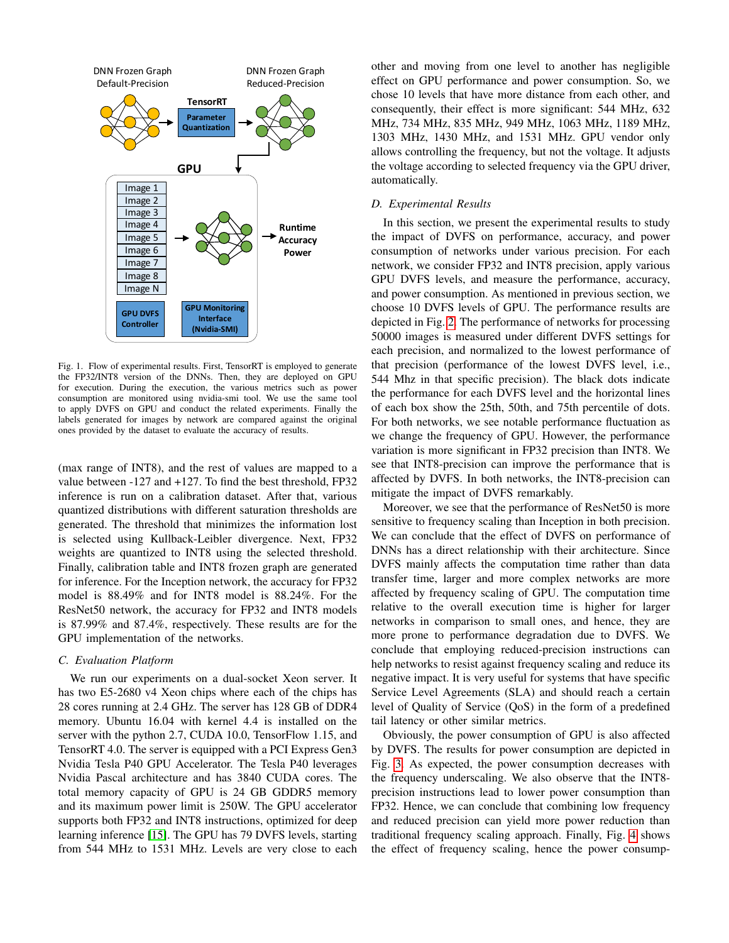

<span id="page-2-0"></span>Fig. 1. Flow of experimental results. First, TensorRT is employed to generate the FP32/INT8 version of the DNNs. Then, they are deployed on GPU for execution. During the execution, the various metrics such as power consumption are monitored using nvidia-smi tool. We use the same tool to apply DVFS on GPU and conduct the related experiments. Finally the labels generated for images by network are compared against the original ones provided by the dataset to evaluate the accuracy of results.

(max range of INT8), and the rest of values are mapped to a value between -127 and +127. To find the best threshold, FP32 inference is run on a calibration dataset. After that, various quantized distributions with different saturation thresholds are generated. The threshold that minimizes the information lost is selected using Kullback-Leibler divergence. Next, FP32 weights are quantized to INT8 using the selected threshold. Finally, calibration table and INT8 frozen graph are generated for inference. For the Inception network, the accuracy for FP32 model is 88.49% and for INT8 model is 88.24%. For the ResNet50 network, the accuracy for FP32 and INT8 models is 87.99% and 87.4%, respectively. These results are for the GPU implementation of the networks.

### <span id="page-2-1"></span>*C. Evaluation Platform*

We run our experiments on a dual-socket Xeon server. It has two E5-2680 v4 Xeon chips where each of the chips has 28 cores running at 2.4 GHz. The server has 128 GB of DDR4 memory. Ubuntu 16.04 with kernel 4.4 is installed on the server with the python 2.7, CUDA 10.0, TensorFlow 1.15, and TensorRT 4.0. The server is equipped with a PCI Express Gen3 Nvidia Tesla P40 GPU Accelerator. The Tesla P40 leverages Nvidia Pascal architecture and has 3840 CUDA cores. The total memory capacity of GPU is 24 GB GDDR5 memory and its maximum power limit is 250W. The GPU accelerator supports both FP32 and INT8 instructions, optimized for deep learning inference [\[15\]](#page-5-15). The GPU has 79 DVFS levels, starting from 544 MHz to 1531 MHz. Levels are very close to each

other and moving from one level to another has negligible effect on GPU performance and power consumption. So, we chose 10 levels that have more distance from each other, and consequently, their effect is more significant: 544 MHz, 632 MHz, 734 MHz, 835 MHz, 949 MHz, 1063 MHz, 1189 MHz, 1303 MHz, 1430 MHz, and 1531 MHz. GPU vendor only allows controlling the frequency, but not the voltage. It adjusts the voltage according to selected frequency via the GPU driver, automatically.

### *D. Experimental Results*

In this section, we present the experimental results to study the impact of DVFS on performance, accuracy, and power consumption of networks under various precision. For each network, we consider FP32 and INT8 precision, apply various GPU DVFS levels, and measure the performance, accuracy, and power consumption. As mentioned in previous section, we choose 10 DVFS levels of GPU. The performance results are depicted in Fig. [2.](#page-3-1) The performance of networks for processing 50000 images is measured under different DVFS settings for each precision, and normalized to the lowest performance of that precision (performance of the lowest DVFS level, i.e., 544 Mhz in that specific precision). The black dots indicate the performance for each DVFS level and the horizontal lines of each box show the 25th, 50th, and 75th percentile of dots. For both networks, we see notable performance fluctuation as we change the frequency of GPU. However, the performance variation is more significant in FP32 precision than INT8. We see that INT8-precision can improve the performance that is affected by DVFS. In both networks, the INT8-precision can mitigate the impact of DVFS remarkably.

Moreover, we see that the performance of ResNet50 is more sensitive to frequency scaling than Inception in both precision. We can conclude that the effect of DVFS on performance of DNNs has a direct relationship with their architecture. Since DVFS mainly affects the computation time rather than data transfer time, larger and more complex networks are more affected by frequency scaling of GPU. The computation time relative to the overall execution time is higher for larger networks in comparison to small ones, and hence, they are more prone to performance degradation due to DVFS. We conclude that employing reduced-precision instructions can help networks to resist against frequency scaling and reduce its negative impact. It is very useful for systems that have specific Service Level Agreements (SLA) and should reach a certain level of Quality of Service (QoS) in the form of a predefined tail latency or other similar metrics.

Obviously, the power consumption of GPU is also affected by DVFS. The results for power consumption are depicted in Fig. [3.](#page-3-2) As expected, the power consumption decreases with the frequency underscaling. We also observe that the INT8 precision instructions lead to lower power consumption than FP32. Hence, we can conclude that combining low frequency and reduced precision can yield more power reduction than traditional frequency scaling approach. Finally, Fig. [4](#page-4-1) shows the effect of frequency scaling, hence the power consump-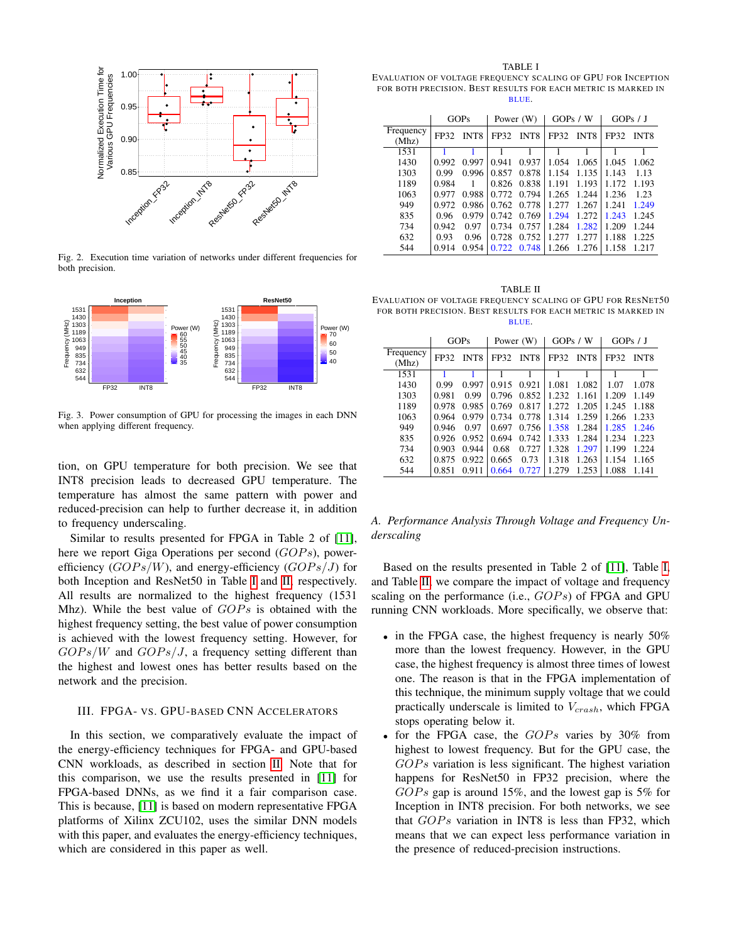

<span id="page-3-1"></span>Fig. 2. Execution time variation of networks under different frequencies for both precision.



<span id="page-3-2"></span>Fig. 3. Power consumption of GPU for processing the images in each DNN when applying different frequency.

tion, on GPU temperature for both precision. We see that INT8 precision leads to decreased GPU temperature. The temperature has almost the same pattern with power and reduced-precision can help to further decrease it, in addition to frequency underscaling.

Similar to results presented for FPGA in Table 2 of [\[11\]](#page-5-10), here we report Giga Operations per second  $(GOPs)$ , powerefficiency  $(GOPs/W)$ , and energy-efficiency  $(GOPs/J)$  for both Inception and ResNet50 in Table [I](#page-3-3) and [II,](#page-3-4) respectively. All results are normalized to the highest frequency (1531 Mhz). While the best value of  $GOPs$  is obtained with the highest frequency setting, the best value of power consumption is achieved with the lowest frequency setting. However, for  $GOPs/W$  and  $GOPs/J$ , a frequency setting different than the highest and lowest ones has better results based on the network and the precision.

## <span id="page-3-0"></span>III. FPGA- VS. GPU-BASED CNN ACCELERATORS

In this section, we comparatively evaluate the impact of the energy-efficiency techniques for FPGA- and GPU-based CNN workloads, as described in section [II.](#page-1-0) Note that for this comparison, we use the results presented in [\[11\]](#page-5-10) for FPGA-based DNNs, as we find it a fair comparison case. This is because, [\[11\]](#page-5-10) is based on modern representative FPGA platforms of Xilinx ZCU102, uses the similar DNN models with this paper, and evaluates the energy-efficiency techniques, which are considered in this paper as well.

<span id="page-3-3"></span>TABLE I EVALUATION OF VOLTAGE FREQUENCY SCALING OF GPU FOR INCEPTION FOR BOTH PRECISION. BEST RESULTS FOR EACH METRIC IS MARKED IN BLUE.

|                    | <b>GOPs</b> |       | Power (W) |                  | GOPs / W |             | GOPs / J |             |
|--------------------|-------------|-------|-----------|------------------|----------|-------------|----------|-------------|
| Frequency<br>(Mhz) | FP32        | INT8  | FP32      | INT <sub>8</sub> | FP32     | <b>INT8</b> | FP32     | <b>INT8</b> |
| 1531               |             |       |           |                  |          |             |          |             |
| 1430               | 0.992       | 0.997 | 0.941     | 0.937            | 1.054    | 1.065       | 1.045    | 1.062       |
| 1303               | 0.99        | 0.996 | 0.857     | 0.878            | 1.154    | 1.135       | 1.143    | 1.13        |
| 1189               | 0.984       |       | 0.826     | 0.838            | 1.191    | 1.193       | 1.172    | 1.193       |
| 1063               | 0.977       | 0.988 | 0.772     | 0.794            | 1.265    | 1.244       | 1.236    | 1.23        |
| 949                | 0.972       | 0.986 | 0.762     | 0.778            | 1.277    | 1.267       | 1.241    | 1.249       |
| 835                | 0.96        | 0.979 | 0.742     | 0.769            | 1.294    | 1.272       | 1.243    | 1.245       |
| 734                | 0.942       | 0.97  | 0.734     | 0.757            | 1.284    | 1.282       | 1.209    | 1.244       |
| 632                | 0.93        | 0.96  | 0.728     | 0.752            | 1.2.77   | 1.277       | 1.188    | 1.225       |
| 544                | 0.914       | 0.954 | 0.722     | 0.748            | 1.266    | 1.276       | 1.158    | 1.217       |

<span id="page-3-4"></span>TABLE II EVALUATION OF VOLTAGE FREQUENCY SCALING OF GPU FOR RESNET50 FOR BOTH PRECISION. BEST RESULTS FOR EACH METRIC IS MARKED IN BLUE.

|                    | <b>GOPs</b> |       | Power (W) |             | GOPs / W |             | GOPs / J |                  |
|--------------------|-------------|-------|-----------|-------------|----------|-------------|----------|------------------|
| Frequency<br>(Mhz) | FP32        | INT8  | FP32      | <b>INT8</b> | FP32     | <b>INT8</b> | FP32     | INT <sub>8</sub> |
| 1531               |             |       |           |             |          |             |          |                  |
| 1430               | 0.99        | 0.997 | 0.915     | 0.921       | 1.081    | 1.082       | 1.07     | 1.078            |
| 1303               | 0.981       | 0.99  | 0.796     | 0.852       | 1.232    | 1.161       | 1.209    | 1.149            |
| 1189               | 0.978       | 0.985 | 0.769     | 0.817       | 1.272    | 1.205       | 1.245    | 1.188            |
| 1063               | 0.964       | 0.979 | 0.734     | 0.778       | 1.314    | 1.259       | 1.266    | 1.233            |
| 949                | 0.946       | 0.97  | 0.697     | 0.756       | 1.358    | 1.284       | 1.285    | 1.246            |
| 835                | 0.926       | 0.952 | 0.694     | 0.742       | 1.333    | 1.284       | 1.234    | 1.223            |
| 734                | 0.903       | 0.944 | 0.68      | 0.727       | 1.328    | 1.297       | 1.199    | 1.224            |
| 632                | 0.875       | 0.922 | 0.665     | 0.73        | 1.318    | 1.263       | 1.154    | 1.165            |
| 544                | 0.851       | 0.911 | 0.664     | 0.727       | 1.279    | 1.253       | 1.088    | 1.141            |

## *A. Performance Analysis Through Voltage and Frequency Underscaling*

Based on the results presented in Table 2 of [\[11\]](#page-5-10), Table [I,](#page-3-3) and Table [II,](#page-3-4) we compare the impact of voltage and frequency scaling on the performance (i.e.,  $GOPs$ ) of FPGA and GPU running CNN workloads. More specifically, we observe that:

- in the FPGA case, the highest frequency is nearly 50% more than the lowest frequency. However, in the GPU case, the highest frequency is almost three times of lowest one. The reason is that in the FPGA implementation of this technique, the minimum supply voltage that we could practically underscale is limited to  $V_{crash}$ , which FPGA stops operating below it.
- for the FPGA case, the  $GOPs$  varies by 30% from highest to lowest frequency. But for the GPU case, the  $GOPs$  variation is less significant. The highest variation happens for ResNet50 in FP32 precision, where the  $GOPs$  gap is around 15%, and the lowest gap is 5% for Inception in INT8 precision. For both networks, we see that  $GOPs$  variation in INT8 is less than FP32, which means that we can expect less performance variation in the presence of reduced-precision instructions.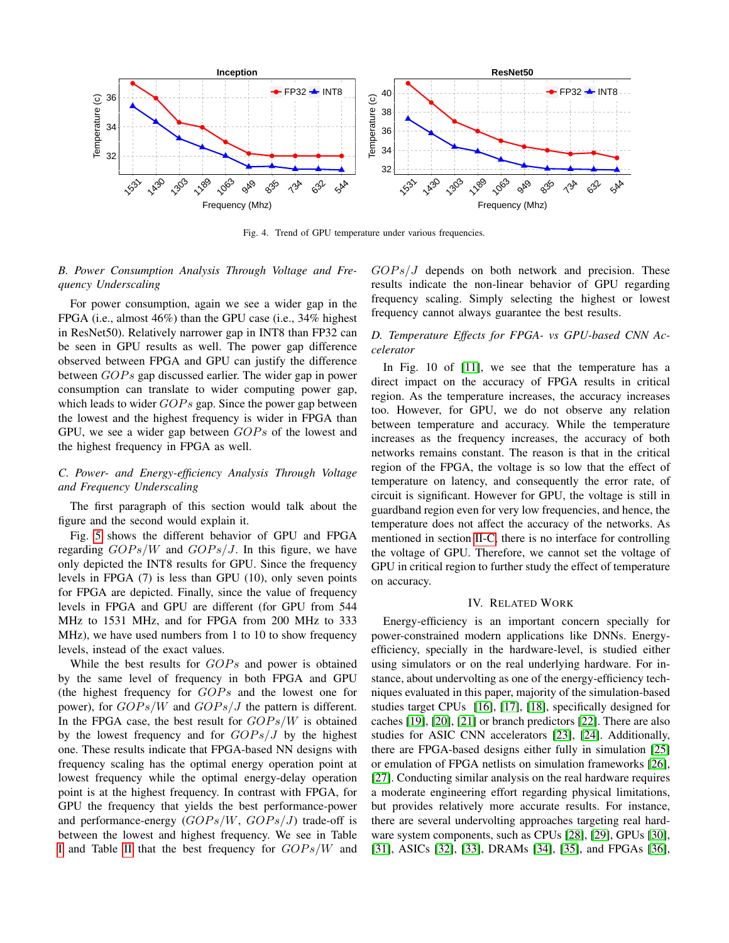

<span id="page-4-1"></span>Fig. 4. Trend of GPU temperature under various frequencies.

## *B. Power Consumption Analysis Through Voltage and Frequency Underscaling*

For power consumption, again we see a wider gap in the FPGA (i.e., almost 46%) than the GPU case (i.e., 34% highest in ResNet50). Relatively narrower gap in INT8 than FP32 can be seen in GPU results as well. The power gap difference observed between FPGA and GPU can justify the difference between  $GOPs$  gap discussed earlier. The wider gap in power consumption can translate to wider computing power gap, which leads to wider  $GOPs$  gap. Since the power gap between the lowest and the highest frequency is wider in FPGA than GPU, we see a wider gap between  $GOPs$  of the lowest and the highest frequency in FPGA as well.

## *C. Power- and Energy-efficiency Analysis Through Voltage and Frequency Underscaling*

The first paragraph of this section would talk about the figure and the second would explain it.

Fig. [5](#page-5-16) shows the different behavior of GPU and FPGA regarding  $GOPs/W$  and  $GOPs/J$ . In this figure, we have only depicted the INT8 results for GPU. Since the frequency levels in FPGA (7) is less than GPU (10), only seven points for FPGA are depicted. Finally, since the value of frequency levels in FPGA and GPU are different (for GPU from 544 MHz to 1531 MHz, and for FPGA from 200 MHz to 333 MHz), we have used numbers from 1 to 10 to show frequency levels, instead of the exact values.

While the best results for  $GOPs$  and power is obtained by the same level of frequency in both FPGA and GPU (the highest frequency for  $GOPs$  and the lowest one for power), for  $GOPs/W$  and  $GOPs/J$  the pattern is different. In the FPGA case, the best result for  $GOPs/W$  is obtained by the lowest frequency and for  $GOPs/J$  by the highest one. These results indicate that FPGA-based NN designs with frequency scaling has the optimal energy operation point at lowest frequency while the optimal energy-delay operation point is at the highest frequency. In contrast with FPGA, for GPU the frequency that yields the best performance-power and performance-energy  $(GOPs/W, GOPs/J)$  trade-off is between the lowest and highest frequency. We see in Table [I](#page-3-3) and Table [II](#page-3-4) that the best frequency for  $GOPs/W$  and  $GOPs/J$  depends on both network and precision. These results indicate the non-linear behavior of GPU regarding frequency scaling. Simply selecting the highest or lowest frequency cannot always guarantee the best results.

## *D. Temperature Effects for FPGA- vs GPU-based CNN Accelerator*

In Fig. 10 of [\[11\]](#page-5-10), we see that the temperature has a direct impact on the accuracy of FPGA results in critical region. As the temperature increases, the accuracy increases too. However, for GPU, we do not observe any relation between temperature and accuracy. While the temperature increases as the frequency increases, the accuracy of both networks remains constant. The reason is that in the critical region of the FPGA, the voltage is so low that the effect of temperature on latency, and consequently the error rate, of circuit is significant. However for GPU, the voltage is still in guardband region even for very low frequencies, and hence, the temperature does not affect the accuracy of the networks. As mentioned in section [II-C,](#page-2-1) there is no interface for controlling the voltage of GPU. Therefore, we cannot set the voltage of GPU in critical region to further study the effect of temperature on accuracy.

## IV. RELATED WORK

<span id="page-4-0"></span>Energy-efficiency is an important concern specially for power-constrained modern applications like DNNs. Energyefficiency, specially in the hardware-level, is studied either using simulators or on the real underlying hardware. For instance, about undervolting as one of the energy-efficiency techniques evaluated in this paper, majority of the simulation-based studies target CPUs [\[16\]](#page-5-17), [\[17\]](#page-5-18), [\[18\]](#page-5-19), specifically designed for caches [\[19\]](#page-5-20), [\[20\]](#page-5-21), [\[21\]](#page-6-0) or branch predictors [\[22\]](#page-6-1). There are also studies for ASIC CNN accelerators [\[23\]](#page-6-2), [\[24\]](#page-6-3). Additionally, there are FPGA-based designs either fully in simulation [\[25\]](#page-6-4) or emulation of FPGA netlists on simulation frameworks [\[26\]](#page-6-5), [\[27\]](#page-6-6). Conducting similar analysis on the real hardware requires a moderate engineering effort regarding physical limitations, but provides relatively more accurate results. For instance, there are several undervolting approaches targeting real hardware system components, such as CPUs [\[28\]](#page-6-7), [\[29\]](#page-6-8), GPUs [\[30\]](#page-6-9), [\[31\]](#page-6-10), ASICs [\[32\]](#page-6-11), [\[33\]](#page-6-12), DRAMs [\[34\]](#page-6-13), [\[35\]](#page-6-14), and FPGAs [\[36\]](#page-6-15),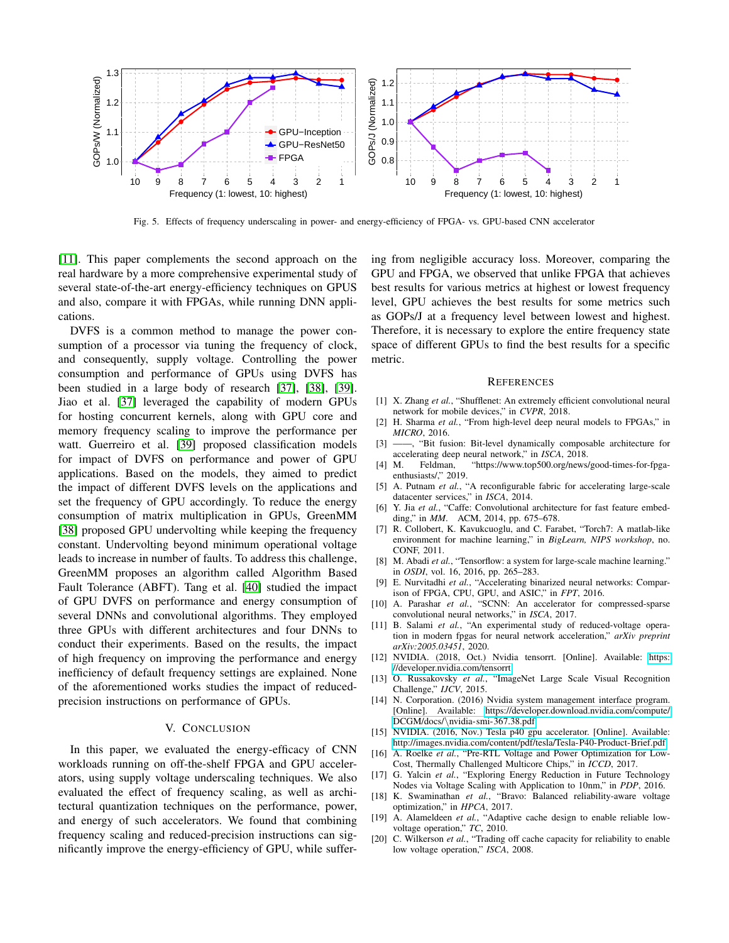

<span id="page-5-16"></span>Fig. 5. Effects of frequency underscaling in power- and energy-efficiency of FPGA- vs. GPU-based CNN accelerator

[\[11\]](#page-5-10). This paper complements the second approach on the real hardware by a more comprehensive experimental study of several state-of-the-art energy-efficiency techniques on GPUS and also, compare it with FPGAs, while running DNN applications.

DVFS is a common method to manage the power consumption of a processor via tuning the frequency of clock, and consequently, supply voltage. Controlling the power consumption and performance of GPUs using DVFS has been studied in a large body of research [\[37\]](#page-6-16), [\[38\]](#page-6-17), [\[39\]](#page-6-18). Jiao et al. [\[37\]](#page-6-16) leveraged the capability of modern GPUs for hosting concurrent kernels, along with GPU core and memory frequency scaling to improve the performance per watt. Guerreiro et al. [\[39\]](#page-6-18) proposed classification models for impact of DVFS on performance and power of GPU applications. Based on the models, they aimed to predict the impact of different DVFS levels on the applications and set the frequency of GPU accordingly. To reduce the energy consumption of matrix multiplication in GPUs, GreenMM [\[38\]](#page-6-17) proposed GPU undervolting while keeping the frequency constant. Undervolting beyond minimum operational voltage leads to increase in number of faults. To address this challenge, GreenMM proposes an algorithm called Algorithm Based Fault Tolerance (ABFT). Tang et al. [\[40\]](#page-6-19) studied the impact of GPU DVFS on performance and energy consumption of several DNNs and convolutional algorithms. They employed three GPUs with different architectures and four DNNs to conduct their experiments. Based on the results, the impact of high frequency on improving the performance and energy inefficiency of default frequency settings are explained. None of the aforementioned works studies the impact of reducedprecision instructions on performance of GPUs.

#### V. CONCLUSION

<span id="page-5-11"></span>In this paper, we evaluated the energy-efficacy of CNN workloads running on off-the-shelf FPGA and GPU accelerators, using supply voltage underscaling techniques. We also evaluated the effect of frequency scaling, as well as architectural quantization techniques on the performance, power, and energy of such accelerators. We found that combining frequency scaling and reduced-precision instructions can significantly improve the energy-efficiency of GPU, while suffering from negligible accuracy loss. Moreover, comparing the GPU and FPGA, we observed that unlike FPGA that achieves best results for various metrics at highest or lowest frequency level, GPU achieves the best results for some metrics such as GOPs/J at a frequency level between lowest and highest. Therefore, it is necessary to explore the entire frequency state space of different GPUs to find the best results for a specific metric.

#### **REFERENCES**

- <span id="page-5-0"></span>[1] X. Zhang et al., "Shufflenet: An extremely efficient convolutional neural network for mobile devices," in *CVPR*, 2018.
- <span id="page-5-1"></span>[2] H. Sharma *et al.*, "From high-level deep neural models to FPGAs," in *MICRO*, 2016.
- <span id="page-5-2"></span>[3] ——, "Bit fusion: Bit-level dynamically composable architecture for accelerating deep neural network," in *ISCA*, 2018.
- <span id="page-5-3"></span>[4] M. Feldman, "https://www.top500.org/news/good-times-for-fpgaenthusiasts/" 2019.
- <span id="page-5-4"></span>[5] A. Putnam *et al.*, "A reconfigurable fabric for accelerating large-scale datacenter services," in *ISCA*, 2014.
- <span id="page-5-5"></span>[6] Y. Jia *et al.*, "Caffe: Convolutional architecture for fast feature embedding," in *MM*. ACM, 2014, pp. 675–678.
- <span id="page-5-6"></span>[7] R. Collobert, K. Kavukcuoglu, and C. Farabet, "Torch7: A matlab-like environment for machine learning," in *BigLearn, NIPS workshop*, no. CONF, 2011.
- <span id="page-5-7"></span>[8] M. Abadi et al., "Tensorflow: a system for large-scale machine learning." in *OSDI*, vol. 16, 2016, pp. 265–283.
- <span id="page-5-8"></span>[9] E. Nurvitadhi *et al.*, "Accelerating binarized neural networks: Comparison of FPGA, CPU, GPU, and ASIC," in *FPT*, 2016.
- <span id="page-5-9"></span>[10] A. Parashar *et al.*, "SCNN: An accelerator for compressed-sparse convolutional neural networks," in *ISCA*, 2017.
- <span id="page-5-10"></span>[11] B. Salami *et al.*, "An experimental study of reduced-voltage operation in modern fpgas for neural network acceleration," *arXiv preprint arXiv:2005.03451*, 2020.
- <span id="page-5-12"></span>[12] NVIDIA. (2018, Oct.) Nvidia tensorrt. [Online]. Available: [https:](https://developer.nvidia.com/tensorrt) [//developer.nvidia.com/tensorrt](https://developer.nvidia.com/tensorrt)
- <span id="page-5-13"></span>[13] O. Russakovsky et al., "ImageNet Large Scale Visual Recognition Challenge," *IJCV*, 2015.
- <span id="page-5-14"></span>[14] N. Corporation. (2016) Nvidia system management interface program. [Online]. Available: [https://developer.download.nvidia.com/compute/](https://developer.download.nvidia.com/compute/DCGM/docs/\nvidia-smi-367.38.pdf) DCGM/docs/\[nvidia-smi-367.38.pdf](https://developer.download.nvidia.com/compute/DCGM/docs/\nvidia-smi-367.38.pdf)
- <span id="page-5-15"></span>[15] NVIDIA. (2016, Nov.) Tesla p40 gpu accelerator. [Online]. Available: <http://images.nvidia.com/content/pdf/tesla/Tesla-P40-Product-Brief.pdf>
- <span id="page-5-17"></span>[16] A. Roelke et al., "Pre-RTL Voltage and Power Optimization for Low-Cost, Thermally Challenged Multicore Chips," in *ICCD*, 2017.
- <span id="page-5-18"></span>[17] G. Yalcin *et al.*, "Exploring Energy Reduction in Future Technology Nodes via Voltage Scaling with Application to 10nm," in *PDP*, 2016.
- <span id="page-5-19"></span>[18] K. Swaminathan *et al.*, "Bravo: Balanced reliability-aware voltage optimization," in *HPCA*, 2017.
- <span id="page-5-20"></span>[19] A. Alameldeen *et al.*, "Adaptive cache design to enable reliable lowvoltage operation," *TC*, 2010.
- <span id="page-5-21"></span>[20] C. Wilkerson *et al.*, "Trading off cache capacity for reliability to enable low voltage operation," *ISCA*, 2008.